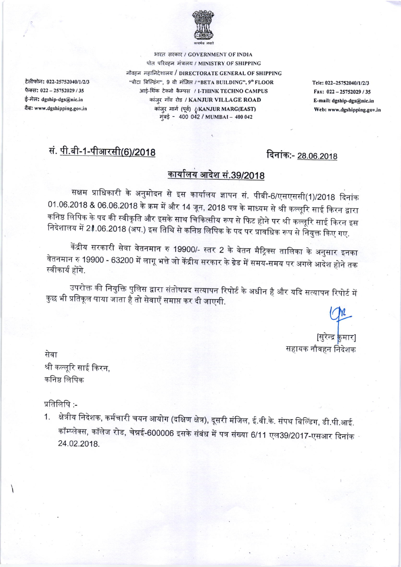

भारत सरकार / GOVERNMENT OF INDIA पोत परिवहन मंत्रालय / MINISTRY OF SHIPPING नौवहन महानिदेशालय / DIRECTORATE GENERAL OF SHIPPING "बीटा बिल्डिंग", 9 वी मंजिल / "BETA BUILDING", 9" FLOOR आई-थिंक टेक्नो कैम्पस / I-THINK TECHNO CAMPUS कांज़्र गाँव रोड / KANJUR VILLAGE ROAD कांजुर मार्ग (पूर्व) /KANJUR MARG(EAST) मुंबई - 400 042 / MUMBAI - 400 042

Tele: 022-25752040/1/2/3 Fax: 022-25752029/35 E-mail: dgship-dgs@nic.in Web: www.dgshipping.gov.in

## सं. पी.बी-1-पीआरसी(6)/2018

टेलीफोन: 022-25752040/1/2/3

फैक्स: 022 - 25752029 / 35

ई-मेल: dgship-dgs@nic.in

वैब: www.dgshipping.gov.in

### दिनांक:- 28.06.2018

# <u>कार्यालय आदेश सं.39/2018</u>

सक्षम प्राधिकारी के अनुमोदन से इस कार्यालय ज्ञापन सं. पीबी-6/एसएससी(1)/2018 दिनांक 01.06.2018 & 06.06.2018 के क्रम में और 14 जून, 2018 पत्र के माध्यम से श्री कल्लूरि साई किरन द्वारा कनिष्ठ लिपिक के पद की स्वीकृति और इसके साथ चिकित्सीय रूप से फिट होने पर श्री कल्लूरि साई किरन इस निदेशालय में 21.06.2018 (अप.) इस तिथि से कनिष्ठ लिपिक के पद पर प्रावधिक रूप से नियुक्त किए गए.

केंद्रीय सरकारी सेवा वेतनमान रु 19900/- स्तर 2 के वेतन मैट्रिक्स तालिका के अनुसार इनका वेतनमान रु 19900 - 63200 में लागू भत्ते जो केंद्रीय सरकार के ग्रेड में समय-समय पर अगले आदेश होने तक स्वीकार्य होंगे.

उपरोक्त की नियुक्ति पुलिस द्वारा संतोषप्रद सत्यापन रिपोर्ट के अधीन है और यदि सत्यापन रिपोर्ट में कुछ भी प्रतिकूल पाया जाता है तो सेवाएँ समाप्त कर दी जाएगी.

> [सुरेन्द्र <mark>कुमार</mark>] सहायक नौवहन निदेशक

सेवा श्री कल्लूरि साई किरन, कनिष्ठ लिपिक

प्रतिलिपि:-

क्षेत्रीय निदेशक, कर्मचारी चयन आयोग (दक्षिण क्षेत्र), दूसरी मंजिल, ई.वी.के. संपथ बिल्डिंग, डी.पी.आई. 1. कॉम्प्लेक्स, कॉलेज रोड, चेन्नई-600006 इसके संबंध में पत्र संख्या 6/11 एल39/2017-एसआर दिनांक 24.02.2018.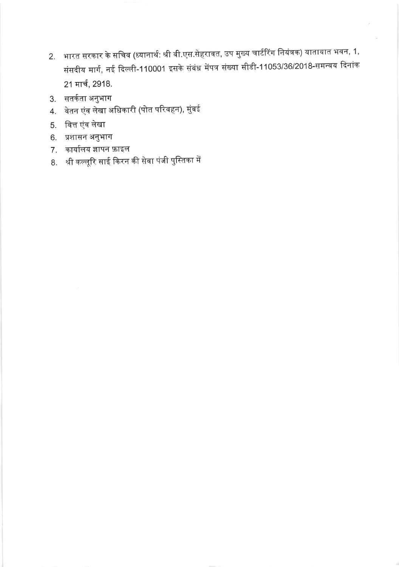- 2. भारत सरकार के सचिव (ध्यानार्थ: श्री वी.एस.सेहरावत, उप मुख्य चार्टरिंग नियंत्रक) यातायात भवन, 1, संसदीय मार्ग, नई दिल्ली-110001 इसके संबंध मेंपत्र संख्या सीडी-11053/36/2018-समन्वय दिनांक 21 मार्च, 2918.
- 3. सतर्कता अनुभाग
- वेतन एंव लेखा अधिकारी (पोत परिवहन), मुंबई 4.
- 5. वित्त एंव लेखा
- 6. प्रशासन अनुभाग
- 7. कार्यालय ज्ञापन फ़ाइल
- 8. श्री कल्लूरि साई किरन की सेवा पंजी पुस्तिका में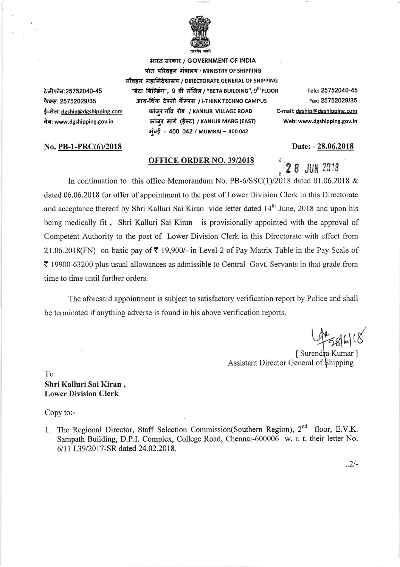

भारत सरकार / GOVERNMENT OF INDIA पोत परिवहन मंत्रालय / MINISTRY OF SHIPPING

आय-थिंक टेक्नो कॅम्पस / I-THINK TECHNO CAMPUS

कांज़ूर गाॅव रोड / KANJUR VILLAGE ROAD

कांजुर मार्ग (ईस्ट) / KANJUR MARG (EAST)

मंबई - 400 042 / MUMBAI - 400 042

नौवहन महानिदेशालय / DIRECTORATE GENERAL OF SHIPPING टेलीफोन:25752040-45 फैक्स: 25752029/35 ई-मेल: dgship@dgshipping.com वेब: www.dgshipping.gov.in

#### No. PB-1-PRC(6)/2018

#### **OFFICE ORDER NO. 39/2018**

"बेटा बिल्डिंग", 9 वी मंजिल / "BETA BUILDING", 9th FLOOR Tele: 25752040-45 Fax: 25752029/35 E-mail: dgship@dgshipping.com Web: www.dgshipping.gov.in

Date: - 28.06.2018

**28 JUN 2018** 

In continuation to this office Memorandum No. PB-6/SSC(1)/2018 dated 01.06.2018 & dated 06.06.2018 for offer of appointment to the post of Lower Division Clerk in this Directorate and acceptance thereof by Shri Kalluri Sai Kiran vide letter dated 14<sup>th</sup> June, 2018 and upon his being medically fit, Shri Kalluri Sai Kiran is provisionally appointed with the approval of Competent Authority to the post of Lower Division Clerk in this Directorate with effect from 21.06.2018(FN) on basic pay of  $\overline{\tau}$  19,900/- in Level-2 of Pay Matrix Table in the Pay Scale of ₹ 19900-63200 plus usual allowances as admissible to Central Govt. Servants in that grade from time to time until further orders.

The aforesaid appointment is subject to satisfactory verification report by Police and shall be terminated if anything adverse is found in his above verification reports.

 $\frac{1}{286118}$ 

[Surendra Kumar] Assistant Director General of Shipping

To Shri Kalluri Sai Kiran, **Lower Division Clerk** 

Copy to:-

1. The Regional Director, Staff Selection Commission(Southern Region), 2<sup>nd</sup> floor, E.V.K. Sampath Building, D.P.I. Complex, College Road, Chennai-600006 w. r. t. their letter No. 6/11 L39/2017-SR dated 24.02.2018.

 $.2/-$